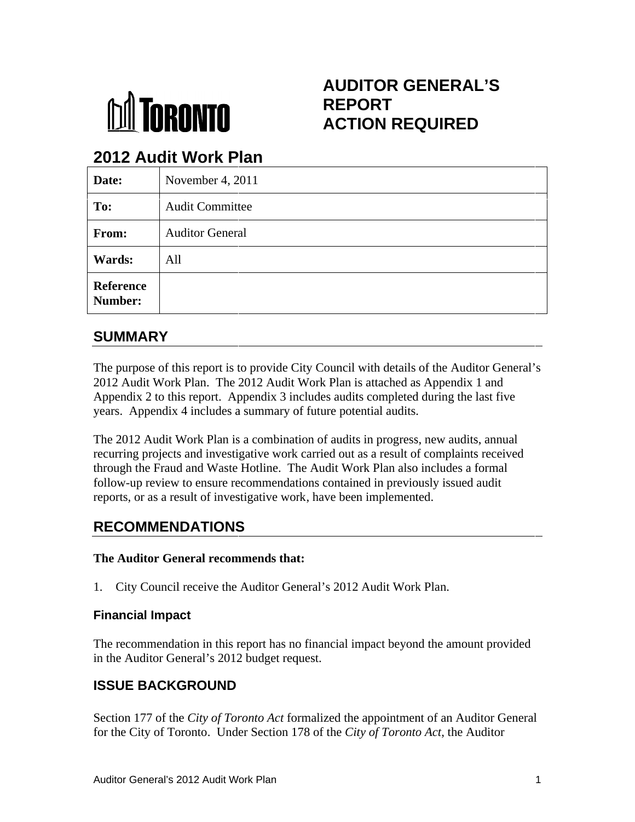

#### **REPORT ACTION REQUIRED AUDITOR GENERAL'S ACTION REQUIRED**

# **2012 Audit Work Plan**

|                             | <b><i><u>INRONTO</u></i></b>                  | <b>AUDITOR GENERAL'S</b><br><b>REPORT</b><br><b>ACTION REQUIRED</b>                                                                                                                                                                                                                                                                                                                                                                                                                                                                                                                                                                                                                                                                                                       |
|-----------------------------|-----------------------------------------------|---------------------------------------------------------------------------------------------------------------------------------------------------------------------------------------------------------------------------------------------------------------------------------------------------------------------------------------------------------------------------------------------------------------------------------------------------------------------------------------------------------------------------------------------------------------------------------------------------------------------------------------------------------------------------------------------------------------------------------------------------------------------------|
|                             | 2012 Audit Work Plan                          |                                                                                                                                                                                                                                                                                                                                                                                                                                                                                                                                                                                                                                                                                                                                                                           |
| Date:                       | November 4, 2011                              |                                                                                                                                                                                                                                                                                                                                                                                                                                                                                                                                                                                                                                                                                                                                                                           |
| To:                         | <b>Audit Committee</b>                        |                                                                                                                                                                                                                                                                                                                                                                                                                                                                                                                                                                                                                                                                                                                                                                           |
| From:                       | <b>Auditor General</b>                        |                                                                                                                                                                                                                                                                                                                                                                                                                                                                                                                                                                                                                                                                                                                                                                           |
| Wards:                      | All                                           |                                                                                                                                                                                                                                                                                                                                                                                                                                                                                                                                                                                                                                                                                                                                                                           |
| <b>Reference</b><br>Number: |                                               |                                                                                                                                                                                                                                                                                                                                                                                                                                                                                                                                                                                                                                                                                                                                                                           |
| <b>SUMMARY</b>              |                                               |                                                                                                                                                                                                                                                                                                                                                                                                                                                                                                                                                                                                                                                                                                                                                                           |
|                             | <b>RECOMMENDATIONS</b>                        | The purpose of this report is to provide City Council with details of the Auditor General's<br>2012 Audit Work Plan. The 2012 Audit Work Plan is attached as Appendix 1 and<br>Appendix 2 to this report. Appendix 3 includes audits completed during the last five<br>years. Appendix 4 includes a summary of future potential audits.<br>The 2012 Audit Work Plan is a combination of audits in progress, new audits, annual<br>recurring projects and investigative work carried out as a result of complaints received<br>through the Fraud and Waste Hotline. The Audit Work Plan also includes a formal<br>follow-up review to ensure recommendations contained in previously issued audit<br>reports, or as a result of investigative work, have been implemented. |
|                             | The Auditor General recommends that:          |                                                                                                                                                                                                                                                                                                                                                                                                                                                                                                                                                                                                                                                                                                                                                                           |
|                             |                                               | 1. City Council receive the Auditor General's 2012 Audit Work Plan.                                                                                                                                                                                                                                                                                                                                                                                                                                                                                                                                                                                                                                                                                                       |
| <b>Financial Impact</b>     |                                               |                                                                                                                                                                                                                                                                                                                                                                                                                                                                                                                                                                                                                                                                                                                                                                           |
|                             | in the Auditor General's 2012 budget request. | The recommendation in this report has no financial impact beyond the amount provided                                                                                                                                                                                                                                                                                                                                                                                                                                                                                                                                                                                                                                                                                      |
|                             | <b>ISSUE BACKGROUND</b>                       |                                                                                                                                                                                                                                                                                                                                                                                                                                                                                                                                                                                                                                                                                                                                                                           |
|                             |                                               | Section 177 of the City of Toronto Act formalized the appointment of an Auditor General<br>for the City of Toronto. Under Section 178 of the City of Toronto Act, the Auditor                                                                                                                                                                                                                                                                                                                                                                                                                                                                                                                                                                                             |

## **SUMMARY**

The purpose of this report is to provide City Council with details of the Auditor General 2012 Audit Work Plan. The 2012 Audit Work Plan is attached as Appendix 1 and Appendix 2 to this report. Appendix 3 includes audits completed during the last five years. Appendix 4 includes a summary of future potential audits. during the last five r General's<br>and  $\mathbf{s}$ 

The 2012 Audit Work Plan is a combination of audits in progress, new audits, annual recurring projects and investigative work carried out as a result of complaints received through the Fraud and Waste Hotline. The Audit Work Plan also includes a formal through the Fraud and Waste Hotline. The Audit Work Plan also includes a formal<br>follow-up review to ensure recommendations contained in previously issued audit reports, or as a result of investigative work, have been implemented. s. Appendix 4 includes a summary of future potential audits.<br>2012 Audit Work Plan is a combination of audits in progress, new audits, annual

## **RECOMMENDATIONS**

### **The Auditor General recommends that:**

1. City Council receive the Auditor General's 2012 Audit Work Plan. 2012 Audit Work Plan. 2 Audit Work Plan Plan.

#### **Financial Impact**

#### **ISSUE BACKGROUND BACKGROUND**

Section 177 of the *City of Toronto Act* formalized the appointment of an Auditor General for the City of Toronto. Under Section 178 of the City of Toronto Act, the Auditor , the Auditor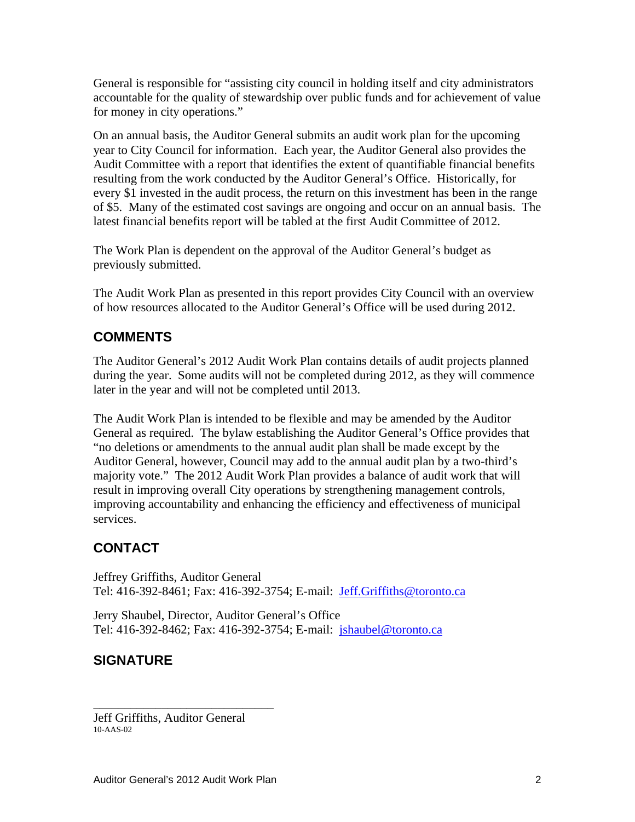General is responsible for "assisting city council in holding itself and city administrators accountable for the quality of stewardship over public funds and for achievement of value for money in city operations."

On an annual basis, the Auditor General submits an audit work plan for the upcoming year to City Council for information. Each year, the Auditor General also provides the Audit Committee with a report that identifies the extent of quantifiable financial benefits resulting from the work conducted by the Auditor General's Office. Historically, for every \$1 invested in the audit process, the return on this investment has been in the range of \$5. Many of the estimated cost savings are ongoing and occur on an annual basis. The

latest financial benefits report will be tabled at the first Audit Committee of 2012. The Work Plan is dependent on the approval of the Auditor General's budget as previously submitted.

The Audit Work Plan as presented in this report provides City Council with an overview of how resources allocated to the Auditor General's Office will be used during 2012.

## **COMMENTS**

The Auditor General's 2012 Audit Work Plan contains details of audit projects planned during the year. Some audits will not be completed during 2012, as they will commence

later in the year and will not be completed until 2013.<br>The Audit Work Plan is intended to be flexible and may be amended by the Auditor General as required. The bylaw establishing the Auditor General's Office provides that "no deletions or amendments to the annual audit plan shall be made except by the Auditor General, however, Council may add to the annual audit plan by a two-third's majority vote." The 2012 Audit Work Plan provides a balance of audit work that will result in improving overall City operations by strengthening management controls, improving accountability and enhancing the efficiency and effectiveness of municipal services.

## **CONTACT**

Jeffrey Griffiths, Auditor General Tel: 416-392-8461; Fax: 416-392-3754; E-mail: Jeff.Griffiths@toronto.ca

Jerry Shaubel, Director, Auditor General's Office Tel: 416-392-8462; Fax: 416-392-3754; E-mail: jshaubel@toronto.ca

## **SIGNATURE**

Jeff Griffiths, Auditor General 10-AAS-02

 $\overline{\phantom{a}}$  , we are the contract of the contract of the contract of the contract of the contract of the contract of the contract of the contract of the contract of the contract of the contract of the contract of the cont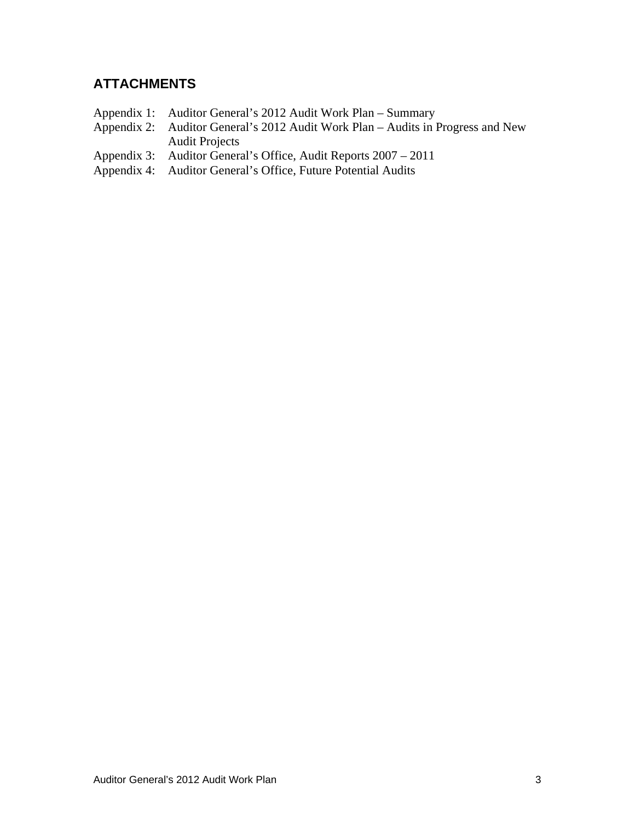## **ATTACHMENTS**

- 
- Appendix 1: Auditor General's 2012 Audit Work Plan Summary<br>Appendix 2: Auditor General's 2012 Audit Work Plan Audits in l Auditor General's 2012 Audit Work Plan – Audits in Progress and New Audit Projects
- Appendix 3: Auditor General's Office, Audit Reports 2007 2011
- Appendix 4: Auditor General's Office, Future Potential Audits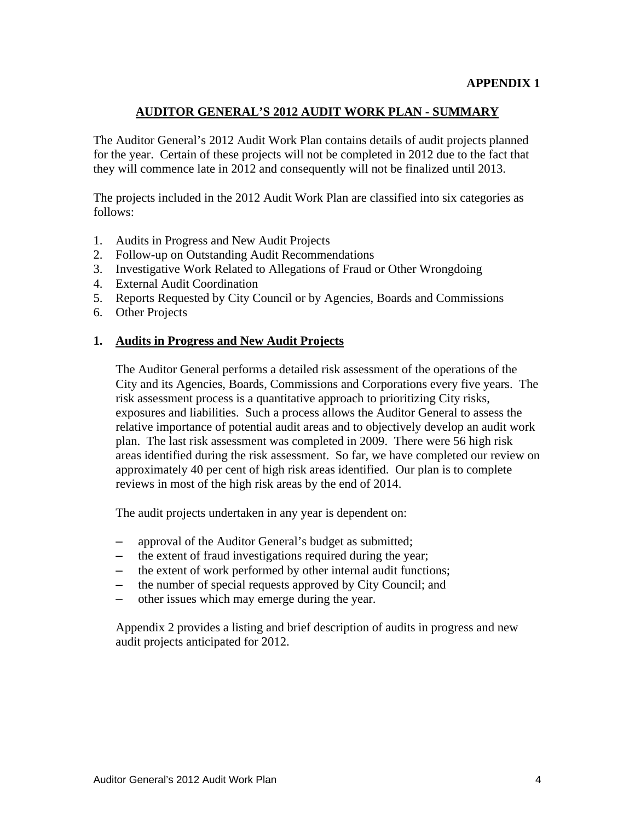### **AUDITOR GENERAL'S 2012 AUDIT WORK PLAN - SUMMARY**

The Auditor General's 2012 Audit Work Plan contains details of audit projects planned for the year. Certain of these projects will not be completed in 2012 due to the fact that they will commence late in 2012 and consequently will not be finalized until 2013.

The projects included in the 2012 Audit Work Plan are classified into six categories as follows:

- 1. Audits in Progress and New Audit Projects
- 2. Follow-up on Outstanding Audit Recommendations
- 3. Investigative Work Related to Allegations of Fraud or Other Wrongdoing
- 4. External Audit Coordination
- 5. Reports Requested by City Council or by Agencies, Boards and Commissions
- 6. Other Projects

#### **1. Audits in Progress and New Audit Projects**

The Auditor General performs a detailed risk assessment of the operations of the City and its Agencies, Boards, Commissions and Corporations every five years. The risk assessment process is a quantitative approach to prioritizing City risks, exposures and liabilities. Such a process allows the Auditor General to assess the relative importance of potential audit areas and to objectively develop an audit work plan. The last risk assessment was completed in 2009. There were 56 high risk areas identified during the risk assessment. So far, we have completed our review on approximately 40 per cent of high risk areas identified. Our plan is to complete reviews in most of the high risk areas by the end of 2014.

The audit projects undertaken in any year is dependent on:

- approval of the Auditor General's budget as submitted;
- the extent of fraud investigations required during the year;
- the extent of work performed by other internal audit functions;
- the number of special requests approved by City Council; and
- other issues which may emerge during the year.

Appendix 2 provides a listing and brief description of audits in progress and new audit projects anticipated for 2012.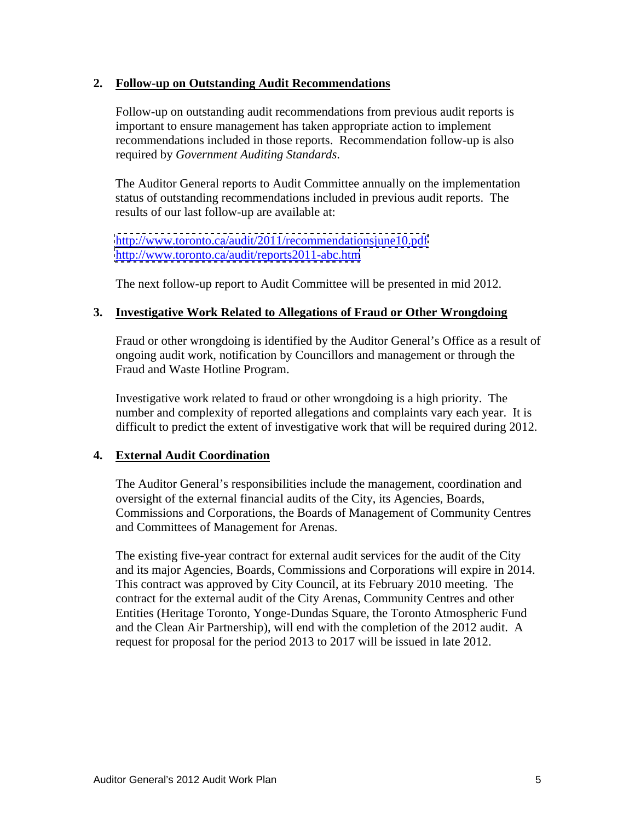#### **2. Follow-up on Outstanding Audit Recommendations**

Follow-up on outstanding audit recommendations from previous audit reports is important to ensure management has taken appropriate action to implement recommendations included in those reports. Recommendation follow-up is also required by *Government Auditing Standards*.

The Auditor General reports to Audit Committee annually on the implementation status of outstanding recommendations included in previous audit reports. The results of our last follow-up are available at:

<http://www.toronto.ca/audit/2011/recommendationsjune10.pdf> <http://www.toronto.ca/audit/reports2011-abc.htm>

The next follow-up report to Audit Committee will be presented in mid 2012.

#### **3. Investigative Work Related to Allegations of Fraud or Other Wrongdoing**

Fraud or other wrongdoing is identified by the Auditor General's Office as a result of ongoing audit work, notification by Councillors and management or through the Fraud and Waste Hotline Program.

Investigative work related to fraud or other wrongdoing is a high priority. The number and complexity of reported allegations and complaints vary each year. It is difficult to predict the extent of investigative work that will be required during 2012.

#### **4. External Audit Coordination**

The Auditor General's responsibilities include the management, coordination and oversight of the external financial audits of the City, its Agencies, Boards, Commissions and Corporations, the Boards of Management of Community Centres and Committees of Management for Arenas.

The existing five-year contract for external audit services for the audit of the City and its major Agencies, Boards, Commissions and Corporations will expire in 2014. This contract was approved by City Council, at its February 2010 meeting. The contract for the external audit of the City Arenas, Community Centres and other Entities (Heritage Toronto, Yonge-Dundas Square, the Toronto Atmospheric Fund and the Clean Air Partnership), will end with the completion of the 2012 audit. A request for proposal for the period 2013 to 2017 will be issued in late 2012.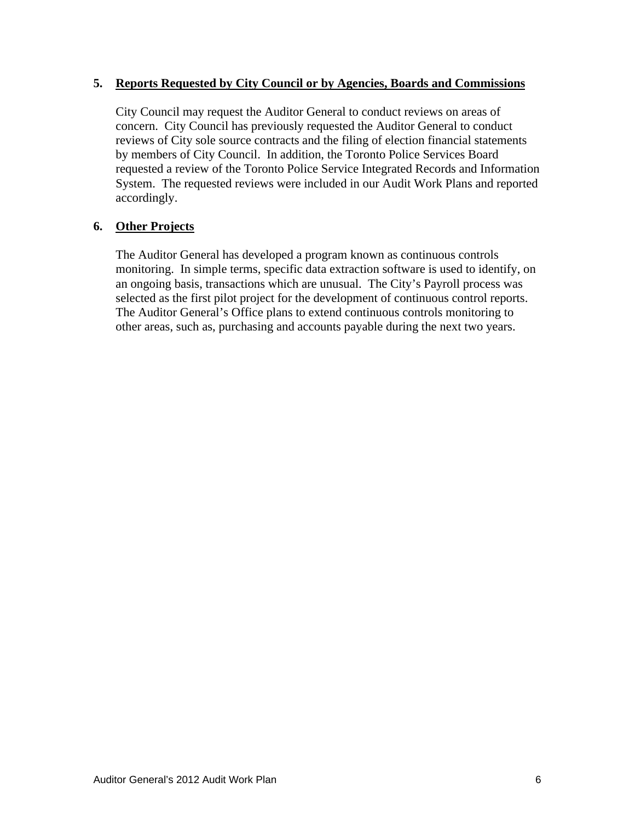#### **5. Reports Requested by City Council or by Agencies, Boards and Commissions**

City Council may request the Auditor General to conduct reviews on areas of concern. City Council has previously requested the Auditor General to conduct reviews of City sole source contracts and the filing of election financial statements by members of City Council. In addition, the Toronto Police Services Board requested a review of the Toronto Police Service Integrated Records and Information System. The requested reviews were included in our Audit Work Plans and reported accordingly.

#### **6. Other Projects**

The Auditor General has developed a program known as continuous controls monitoring. In simple terms, specific data extraction software is used to identify, on an ongoing basis, transactions which are unusual. The City's Payroll process was selected as the first pilot project for the development of continuous control reports. The Auditor General's Office plans to extend continuous controls monitoring to other areas, such as, purchasing and accounts payable during the next two years.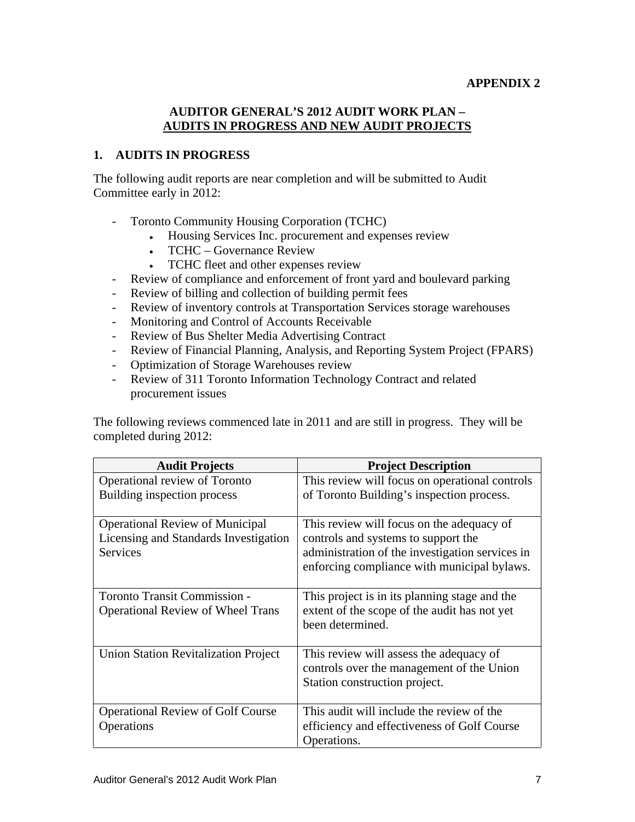#### **APPENDIX 2**

#### **AUDITOR GENERAL'S 2012 AUDIT WORK PLAN – AUDITS IN PROGRESS AND NEW AUDIT PROJECTS**

#### **1. AUDITS IN PROGRESS**

The following audit reports are near completion and will be submitted to Audit Committee early in 2012:

- Toronto Community Housing Corporation (TCHC)
	- Housing Services Inc. procurement and expenses review  $\bullet$
	- TCHC Governance Review
	- TCHC fleet and other expenses review
- Review of compliance and enforcement of front yard and boulevard parking
- Review of billing and collection of building permit fees
- Review of inventory controls at Transportation Services storage warehouses
- Monitoring and Control of Accounts Receivable
- Review of Bus Shelter Media Advertising Contract
- Review of Financial Planning, Analysis, and Reporting System Project (FPARS)
- Optimization of Storage Warehouses review
- Review of 311 Toronto Information Technology Contract and related procurement issues

The following reviews commenced late in 2011 and are still in progress. They will be completed during 2012:

| <b>Audit Projects</b>                                                                                                             | <b>Project Description</b>                                                                                                                  |
|-----------------------------------------------------------------------------------------------------------------------------------|---------------------------------------------------------------------------------------------------------------------------------------------|
| Operational review of Toronto                                                                                                     | This review will focus on operational controls                                                                                              |
| Building inspection process                                                                                                       | of Toronto Building's inspection process.                                                                                                   |
| <b>Operational Review of Municipal</b><br>Licensing and Standards Investigation   controls and systems to support the<br>Services | This review will focus on the adequacy of<br>administration of the investigation services in<br>enforcing compliance with municipal bylaws. |
| Toronto Transit Commission -<br><b>Operational Review of Wheel Trans</b>                                                          | This project is in its planning stage and the<br>extent of the scope of the audit has not yet<br>been determined.                           |
| <b>Union Station Revitalization Project</b>                                                                                       | This review will assess the adequacy of<br>controls over the management of the Union<br>Station construction project.                       |
| <b>Operational Review of Golf Course</b><br>Operations                                                                            | This audit will include the review of the<br>efficiency and effectiveness of Golf Course<br>Operations.                                     |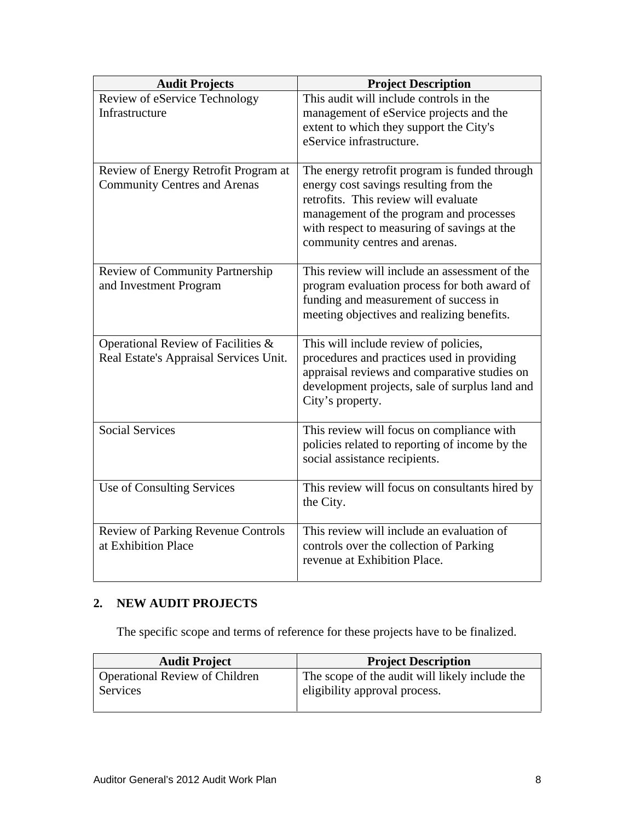| This audit will include controls in the<br>Review of eService Technology<br>Infrastructure<br>management of eService projects and the<br>extent to which they support the City's<br>eService infrastructure.<br>Review of Energy Retrofit Program at<br>The energy retrofit program is funded through<br>energy cost savings resulting from the<br><b>Community Centres and Arenas</b><br>retrofits. This review will evaluate<br>management of the program and processes<br>with respect to measuring of savings at the<br>community centres and arenas.<br>Review of Community Partnership<br>This review will include an assessment of the<br>program evaluation process for both award of<br>and Investment Program<br>funding and measurement of success in<br>meeting objectives and realizing benefits.<br>Operational Review of Facilities &<br>This will include review of policies,<br>procedures and practices used in providing<br>Real Estate's Appraisal Services Unit.<br>appraisal reviews and comparative studies on |
|---------------------------------------------------------------------------------------------------------------------------------------------------------------------------------------------------------------------------------------------------------------------------------------------------------------------------------------------------------------------------------------------------------------------------------------------------------------------------------------------------------------------------------------------------------------------------------------------------------------------------------------------------------------------------------------------------------------------------------------------------------------------------------------------------------------------------------------------------------------------------------------------------------------------------------------------------------------------------------------------------------------------------------------|
|                                                                                                                                                                                                                                                                                                                                                                                                                                                                                                                                                                                                                                                                                                                                                                                                                                                                                                                                                                                                                                       |
|                                                                                                                                                                                                                                                                                                                                                                                                                                                                                                                                                                                                                                                                                                                                                                                                                                                                                                                                                                                                                                       |
|                                                                                                                                                                                                                                                                                                                                                                                                                                                                                                                                                                                                                                                                                                                                                                                                                                                                                                                                                                                                                                       |
|                                                                                                                                                                                                                                                                                                                                                                                                                                                                                                                                                                                                                                                                                                                                                                                                                                                                                                                                                                                                                                       |
|                                                                                                                                                                                                                                                                                                                                                                                                                                                                                                                                                                                                                                                                                                                                                                                                                                                                                                                                                                                                                                       |
|                                                                                                                                                                                                                                                                                                                                                                                                                                                                                                                                                                                                                                                                                                                                                                                                                                                                                                                                                                                                                                       |
|                                                                                                                                                                                                                                                                                                                                                                                                                                                                                                                                                                                                                                                                                                                                                                                                                                                                                                                                                                                                                                       |
|                                                                                                                                                                                                                                                                                                                                                                                                                                                                                                                                                                                                                                                                                                                                                                                                                                                                                                                                                                                                                                       |
|                                                                                                                                                                                                                                                                                                                                                                                                                                                                                                                                                                                                                                                                                                                                                                                                                                                                                                                                                                                                                                       |
|                                                                                                                                                                                                                                                                                                                                                                                                                                                                                                                                                                                                                                                                                                                                                                                                                                                                                                                                                                                                                                       |
|                                                                                                                                                                                                                                                                                                                                                                                                                                                                                                                                                                                                                                                                                                                                                                                                                                                                                                                                                                                                                                       |
|                                                                                                                                                                                                                                                                                                                                                                                                                                                                                                                                                                                                                                                                                                                                                                                                                                                                                                                                                                                                                                       |
|                                                                                                                                                                                                                                                                                                                                                                                                                                                                                                                                                                                                                                                                                                                                                                                                                                                                                                                                                                                                                                       |
|                                                                                                                                                                                                                                                                                                                                                                                                                                                                                                                                                                                                                                                                                                                                                                                                                                                                                                                                                                                                                                       |
|                                                                                                                                                                                                                                                                                                                                                                                                                                                                                                                                                                                                                                                                                                                                                                                                                                                                                                                                                                                                                                       |
|                                                                                                                                                                                                                                                                                                                                                                                                                                                                                                                                                                                                                                                                                                                                                                                                                                                                                                                                                                                                                                       |
|                                                                                                                                                                                                                                                                                                                                                                                                                                                                                                                                                                                                                                                                                                                                                                                                                                                                                                                                                                                                                                       |
|                                                                                                                                                                                                                                                                                                                                                                                                                                                                                                                                                                                                                                                                                                                                                                                                                                                                                                                                                                                                                                       |
| development projects, sale of surplus land and                                                                                                                                                                                                                                                                                                                                                                                                                                                                                                                                                                                                                                                                                                                                                                                                                                                                                                                                                                                        |
| City's property.                                                                                                                                                                                                                                                                                                                                                                                                                                                                                                                                                                                                                                                                                                                                                                                                                                                                                                                                                                                                                      |
| <b>Social Services</b><br>This review will focus on compliance with                                                                                                                                                                                                                                                                                                                                                                                                                                                                                                                                                                                                                                                                                                                                                                                                                                                                                                                                                                   |
| policies related to reporting of income by the                                                                                                                                                                                                                                                                                                                                                                                                                                                                                                                                                                                                                                                                                                                                                                                                                                                                                                                                                                                        |
| social assistance recipients.                                                                                                                                                                                                                                                                                                                                                                                                                                                                                                                                                                                                                                                                                                                                                                                                                                                                                                                                                                                                         |
|                                                                                                                                                                                                                                                                                                                                                                                                                                                                                                                                                                                                                                                                                                                                                                                                                                                                                                                                                                                                                                       |
| Use of Consulting Services<br>This review will focus on consultants hired by                                                                                                                                                                                                                                                                                                                                                                                                                                                                                                                                                                                                                                                                                                                                                                                                                                                                                                                                                          |
| the City.                                                                                                                                                                                                                                                                                                                                                                                                                                                                                                                                                                                                                                                                                                                                                                                                                                                                                                                                                                                                                             |
|                                                                                                                                                                                                                                                                                                                                                                                                                                                                                                                                                                                                                                                                                                                                                                                                                                                                                                                                                                                                                                       |
| This review will include an evaluation of<br><b>Review of Parking Revenue Controls</b>                                                                                                                                                                                                                                                                                                                                                                                                                                                                                                                                                                                                                                                                                                                                                                                                                                                                                                                                                |
| at Exhibition Place<br>controls over the collection of Parking                                                                                                                                                                                                                                                                                                                                                                                                                                                                                                                                                                                                                                                                                                                                                                                                                                                                                                                                                                        |
| revenue at Exhibition Place.                                                                                                                                                                                                                                                                                                                                                                                                                                                                                                                                                                                                                                                                                                                                                                                                                                                                                                                                                                                                          |

## **2. NEW AUDIT PROJECTS**

The specific scope and terms of reference for these projects have to be finalized.

| $\mathbf{r}$ . The state $\mathbf{r}$<br><b>Audit Project</b> | <b>Project Description</b>                                            |
|---------------------------------------------------------------|-----------------------------------------------------------------------|
| <b>Operational Review of Children</b>                         | e audit will likely include the<br>$\boldsymbol{z}$ of the f<br>scope |
| Services                                                      | .<br>eligibility approval process.                                    |
|                                                               |                                                                       |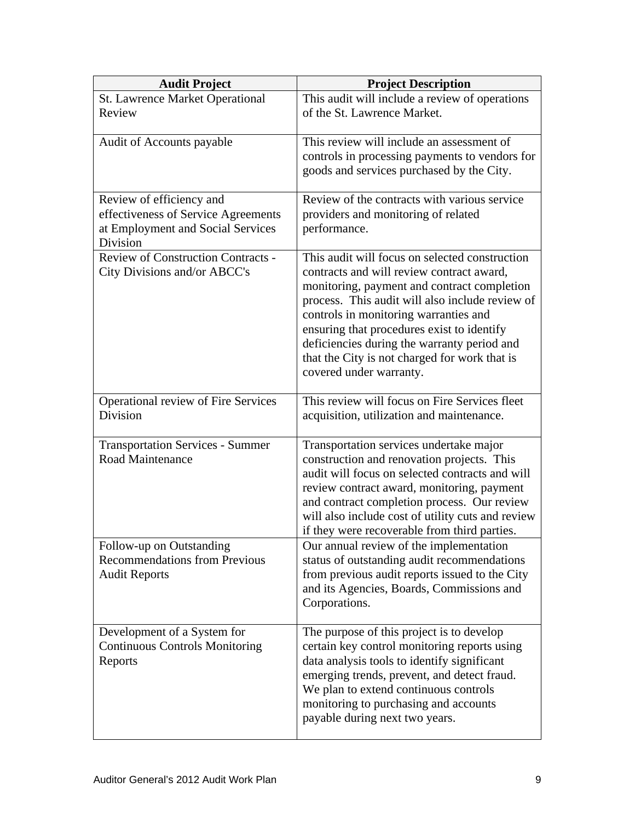| <b>Audit Project</b>                                               | <b>Project Description</b>                                                                     |
|--------------------------------------------------------------------|------------------------------------------------------------------------------------------------|
| St. Lawrence Market Operational                                    | This audit will include a review of operations                                                 |
| Review                                                             | of the St. Lawrence Market.                                                                    |
|                                                                    |                                                                                                |
| Audit of Accounts payable                                          | This review will include an assessment of                                                      |
|                                                                    | controls in processing payments to vendors for<br>goods and services purchased by the City.    |
|                                                                    |                                                                                                |
| Review of efficiency and                                           | Review of the contracts with various service                                                   |
| effectiveness of Service Agreements                                | providers and monitoring of related                                                            |
| at Employment and Social Services                                  | performance.                                                                                   |
| Division                                                           |                                                                                                |
| <b>Review of Construction Contracts -</b>                          | This audit will focus on selected construction                                                 |
| City Divisions and/or ABCC's                                       | contracts and will review contract award,                                                      |
|                                                                    | monitoring, payment and contract completion<br>process. This audit will also include review of |
|                                                                    | controls in monitoring warranties and                                                          |
|                                                                    | ensuring that procedures exist to identify                                                     |
|                                                                    | deficiencies during the warranty period and                                                    |
|                                                                    | that the City is not charged for work that is                                                  |
|                                                                    | covered under warranty.                                                                        |
|                                                                    |                                                                                                |
| <b>Operational review of Fire Services</b>                         | This review will focus on Fire Services fleet                                                  |
| Division                                                           | acquisition, utilization and maintenance.                                                      |
|                                                                    | Transportation services undertake major                                                        |
| <b>Transportation Services - Summer</b><br><b>Road Maintenance</b> | construction and renovation projects. This                                                     |
|                                                                    | audit will focus on selected contracts and will                                                |
|                                                                    | review contract award, monitoring, payment                                                     |
|                                                                    | and contract completion process. Our review                                                    |
|                                                                    | will also include cost of utility cuts and review                                              |
|                                                                    | if they were recoverable from third parties.                                                   |
| Follow-up on Outstanding                                           | Our annual review of the implementation                                                        |
| <b>Recommendations from Previous</b>                               | status of outstanding audit recommendations                                                    |
| <b>Audit Reports</b>                                               | from previous audit reports issued to the City                                                 |
|                                                                    | and its Agencies, Boards, Commissions and                                                      |
|                                                                    | Corporations.                                                                                  |
| Development of a System for                                        | The purpose of this project is to develop                                                      |
| <b>Continuous Controls Monitoring</b>                              | certain key control monitoring reports using                                                   |
| Reports                                                            | data analysis tools to identify significant                                                    |
|                                                                    | emerging trends, prevent, and detect fraud.                                                    |
|                                                                    | We plan to extend continuous controls                                                          |
|                                                                    | monitoring to purchasing and accounts                                                          |
|                                                                    | payable during next two years.                                                                 |
|                                                                    |                                                                                                |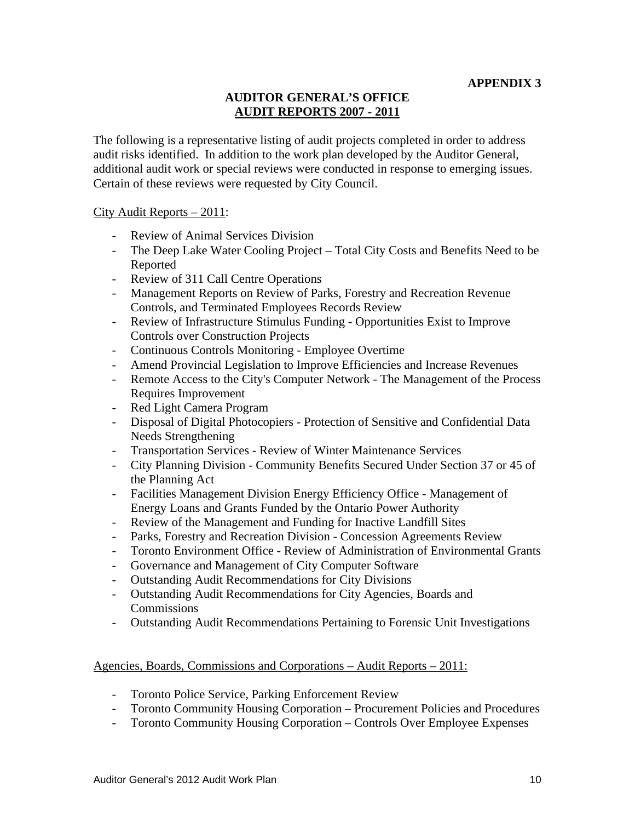#### **AUDITOR GENERAL'S OFFICE AUDIT REPORTS 2007 - 2011**

The following is a representative listing of audit projects completed in order to address audit risks identified. In addition to the work plan developed by the Auditor General, additional audit work or special reviews were conducted in response to emerging issues. Certain of these reviews were requested by City Council.<br>City Audit Reports – 2011:

- Review of Animal Services Division
- The Deep Lake Water Cooling Project Total City Costs and Benefits Need to be Reported
- 
- Review of 311 Call Centre Operations<br>- Management Reports on Review of Parks, Forestry and Recreation Revenue Controls, and Terminated Employees Records Review
- Review of Infrastructure Stimulus Funding Opportunities Exist to Improve Controls over Construction Projects
- Continuous Controls Monitoring Employee Overtime
- Amend Provincial Legislation to Improve Efficiencies and Increase Revenues
- Remote Access to the City's Computer Network The Management of the Process Requires Improvement<br>- Red Light Camera Program
- Red Light Camera Program
- Disposal of Digital Photocopiers Protection of Sensitive and Confidential Data Needs Strengthening
- Transportation Services Review of Winter Maintenance Services
- City Planning Division Community Benefits Secured Under Section 37 or 45 of the Planning Act
- Facilities Management Division Energy Efficiency Office Management of Energy Loans and Grants Funded by the Ontario Power Authority
- Review of the Management and Funding for Inactive Landfill Sites
- Parks, Forestry and Recreation Division Concession Agreements Review
- Toronto Environment Office Review of Administration of Environmental Grants
- Governance and Management of City Computer Software Outstanding Audit Recommendations for City Divisions
- 
- Outstanding Audit Recommendations for City Agencies, Boards and Commissions
- Outstanding Audit Recommendations Pertaining to Forensic Unit Investigations

#### Agencies, Boards, Commissions and Corporations – Audit Reports – 2011:

- Toronto Police Service, Parking Enforcement Review
- Toronto Community Housing Corporation Procurement Policies and Procedures Toronto Community Housing Corporation Controls Over Employee Expenses
-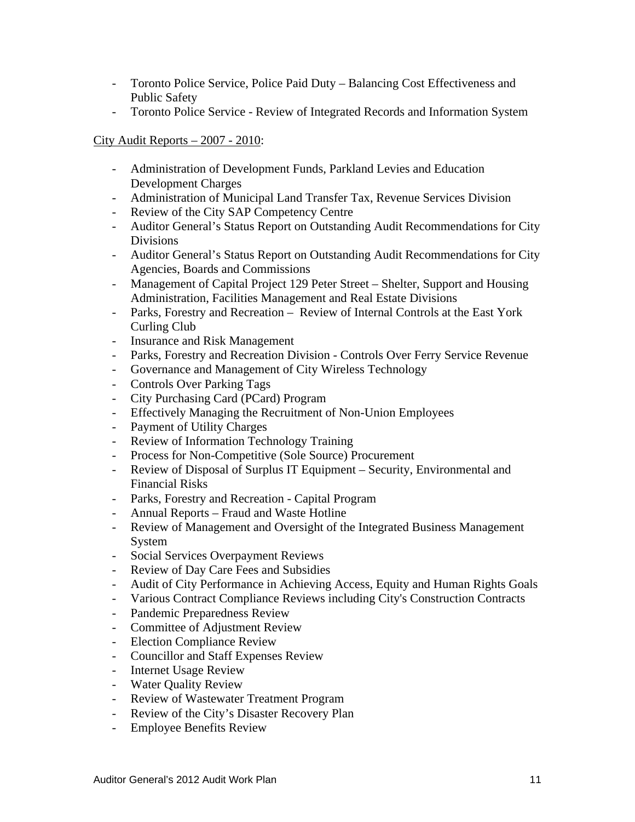- Toronto Police Service, Police Paid Duty Balancing Cost Effectiveness and Public Safety **Public Safety**
- Toronto Police Service Review of Integrated Records and Information System

#### City Audit Reports – 2007 - 2010:

- Administration of Development Funds, Parkland Levies and Education Development Charges
- Administration of Municipal Land Transfer Tax, Revenue Services Division
- Review of the City SAP Competency Centre
- Auditor General's Status Report on Outstanding Audit Recommendations for City Divisions
- Auditor General's Status Report on Outstanding Audit Recommendations for City Agencies, Boards and Commissions
- Management of Capital Project 129 Peter Street Shelter, Support and Housing Administration, Facilities Management and Real Estate Divisions
- Parks, Forestry and Recreation Review of Internal Controls at the East York Curling Club
- Insurance and Risk Management
- Parks, Forestry and Recreation Division Controls Over Ferry Service Revenue<br>- Governance and Management of City Wireless Technology<br>- Controls Over Parking Tags<br>- City Purchasing Card (PCard) Program<br>- Effectively Mana
- 
- 
- 
- 
- 
- Review of Information Technology Training
- Process for Non-Competitive (Sole Source) Procurement
- Review of Disposal of Surplus IT Equipment Security, Environmental and Financial Risks
- Parks, Forestry and Recreation Capital Program Annual Reports Fraud and Waste Hotline
- 
- Review of Management and Oversight of the Integrated Business Management System and the state of the state of the state of the state of the state of the state of the state of the state of the state of the state of the state of the state of the state of the state of the state of the state of the
- Social Services Overpayment Reviews
- Review of Day Care Fees and Subsidies
- Audit of City Performance in Achieving Access, Equity and Human Rights Goals
- Various Contract Compliance Reviews including City's Construction Contracts
- Pandemic Preparedness Review
- Committee of Adjustment Review
- Election Compliance Review
- Councillor and Staff Expenses Review
- Internet Usage Review
- Water Quality Review
- Review of Wastewater Treatment Program
- Review of the City's Disaster Recovery Plan
- Employee Benefits Review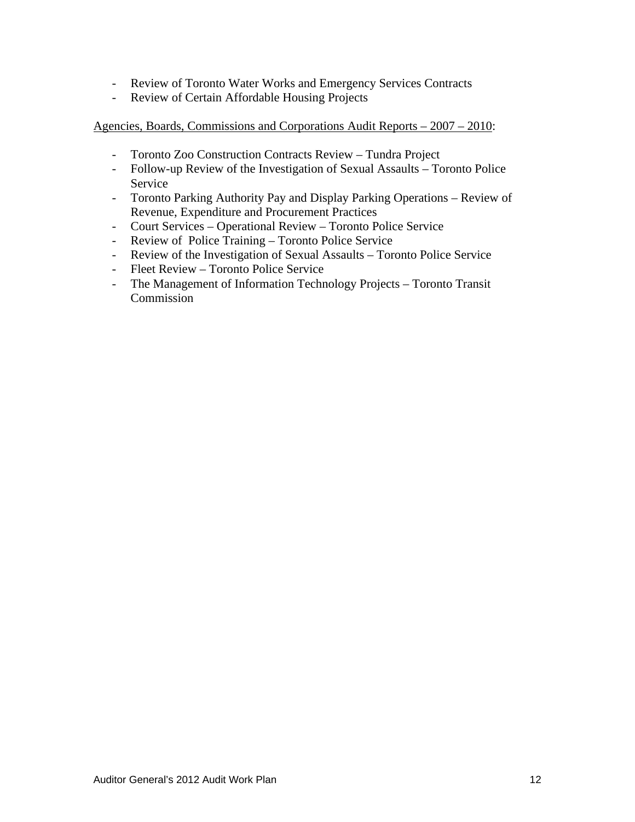- Review of Toronto Water Works and Emergency Services Contracts
- Review of Certain Affordable Housing Projects

#### Agencies, Boards, Commissions and Corporations Audit Reports – 2007 – 2010:

- Toronto Zoo Construction Contracts Review Tundra Project
- Follow-up Review of the Investigation of Sexual Assaults Toronto Police Service **Service** and the service of the service of the service of the service of the service of the service of the service of the service of the service of the service of the service of the service of the service of the s
- Toronto Parking Authority Pay and Display Parking Operations Review of Revenue, Expenditure and Procurement Practices
- Court Services Operational Review Toronto Police Service
- Review of Police Training Toronto Police Service
- Review of the Investigation of Sexual Assaults Toronto Police Service
- Fleet Review Toronto Police Service
- The Management of Information Technology Projects Toronto Transit Commission